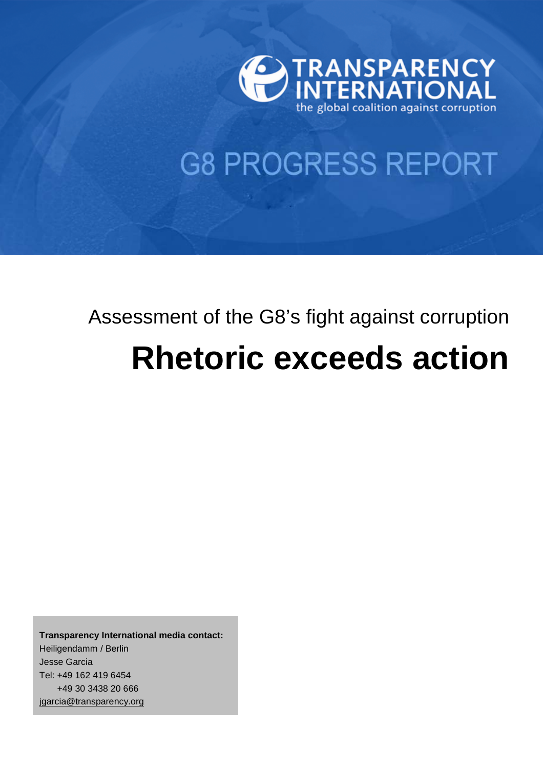

## **G8 PROGRESS REPORT**

# Assessment of the G8's fight against corruption **Rhetoric exceeds action**

**Transparency International media contact:**  Heiligendamm / Berlin Jesse Garcia Tel: +49 162 419 6454 +49 30 3438 20 666 jgarcia@transparency.org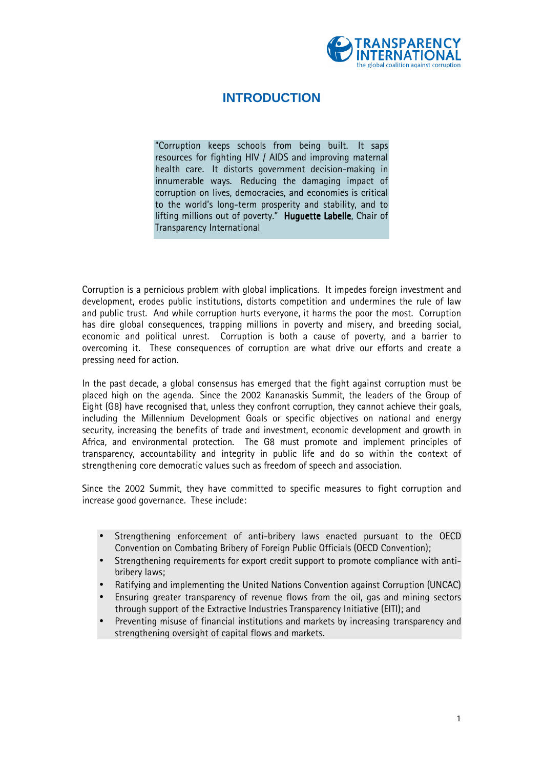

## **INTRODUCTION**

≈Corruption keeps schools from being built. It saps resources for fighting HIV / AIDS and improving maternal health care. It distorts government decision-making in innumerable ways. Reducing the damaging impact of corruption on lives, democracies, and economies is critical to the world's long-term prosperity and stability, and to lifting millions out of poverty." Huguette Labelle, Chair of Transparency International

Corruption is a pernicious problem with global implications. It impedes foreign investment and development, erodes public institutions, distorts competition and undermines the rule of law and public trust. And while corruption hurts everyone, it harms the poor the most. Corruption has dire global consequences, trapping millions in poverty and misery, and breeding social, economic and political unrest. Corruption is both a cause of poverty, and a barrier to overcoming it. These consequences of corruption are what drive our efforts and create a pressing need for action.

In the past decade, a global consensus has emerged that the fight against corruption must be placed high on the agenda. Since the 2002 Kananaskis Summit, the leaders of the Group of Eight (G8) have recognised that, unless they confront corruption, they cannot achieve their goals, including the Millennium Development Goals or specific objectives on national and energy security, increasing the benefits of trade and investment, economic development and growth in Africa, and environmental protection. The G8 must promote and implement principles of transparency, accountability and integrity in public life and do so within the context of strengthening core democratic values such as freedom of speech and association.

Since the 2002 Summit, they have committed to specific measures to fight corruption and increase good governance. These include:

- Strengthening enforcement of anti-bribery laws enacted pursuant to the OECD Convention on Combating Bribery of Foreign Public Officials (OECD Convention);
- Strengthening requirements for export credit support to promote compliance with antibribery laws;
- Ratifying and implementing the United Nations Convention against Corruption (UNCAC)
- Ensuring greater transparency of revenue flows from the oil, gas and mining sectors through support of the Extractive Industries Transparency Initiative (EITI); and
- Preventing misuse of financial institutions and markets by increasing transparency and strengthening oversight of capital flows and markets.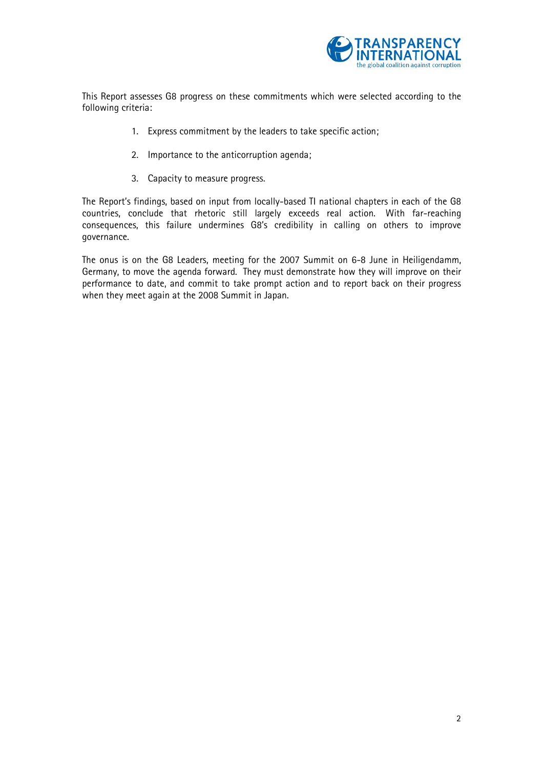

This Report assesses G8 progress on these commitments which were selected according to the following criteria:

- 1. Express commitment by the leaders to take specific action;
- 2. Importance to the anticorruption agenda;
- 3. Capacity to measure progress.

The Report's findings, based on input from locally-based TI national chapters in each of the G8 countries, conclude that rhetoric still largely exceeds real action. With far-reaching consequences, this failure undermines G8»s credibility in calling on others to improve governance.

The onus is on the G8 Leaders, meeting for the 2007 Summit on 6-8 June in Heiligendamm, Germany, to move the agenda forward. They must demonstrate how they will improve on their performance to date, and commit to take prompt action and to report back on their progress when they meet again at the 2008 Summit in Japan.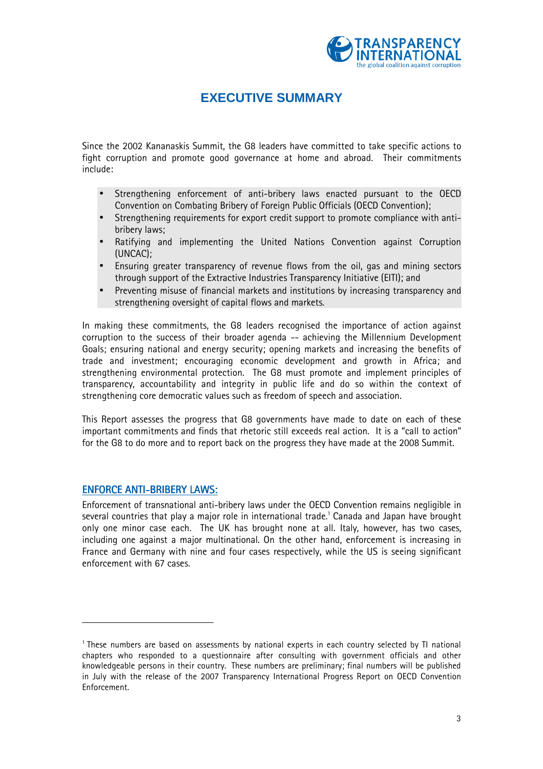

## **EXECUTIVE SUMMARY**

Since the 2002 Kananaskis Summit, the G8 leaders have committed to take specific actions to fight corruption and promote good governance at home and abroad. Their commitments include:

- Strengthening enforcement of anti-bribery laws enacted pursuant to the OECD Convention on Combating Bribery of Foreign Public Officials (OECD Convention);
- Strengthening requirements for export credit support to promote compliance with antibribery laws;
- Ratifying and implementing the United Nations Convention against Corruption (UNCAC);
- Ensuring greater transparency of revenue flows from the oil, gas and mining sectors through support of the Extractive Industries Transparency Initiative (EITI); and
- Preventing misuse of financial markets and institutions by increasing transparency and strengthening oversight of capital flows and markets.

In making these commitments, the G8 leaders recognised the importance of action against corruption to the success of their broader agenda -- achieving the Millennium Development Goals; ensuring national and energy security; opening markets and increasing the benefits of trade and investment; encouraging economic development and growth in Africa; and strengthening environmental protection. The G8 must promote and implement principles of transparency, accountability and integrity in public life and do so within the context of strengthening core democratic values such as freedom of speech and association.

This Report assesses the progress that G8 governments have made to date on each of these important commitments and finds that rhetoric still exceeds real action. It is a "call to action" for the G8 to do more and to report back on the progress they have made at the 2008 Summit.

#### **ENFORCE ANTI-BRIBERY LAWS:**

l

Enforcement of transnational anti-bribery laws under the OECD Convention remains negligible in several countries that play a major role in international trade.<sup>1</sup> Canada and Japan have brought only one minor case each. The UK has brought none at all. Italy, however, has two cases, including one against a major multinational. On the other hand, enforcement is increasing in France and Germany with nine and four cases respectively, while the US is seeing significant enforcement with 67 cases.

<sup>&</sup>lt;sup>1</sup> These numbers are based on assessments by national experts in each country selected by TI national chapters who responded to a questionnaire after consulting with government officials and other knowledgeable persons in their country. These numbers are preliminary; final numbers will be published in July with the release of the 2007 Transparency International Progress Report on OECD Convention Enforcement.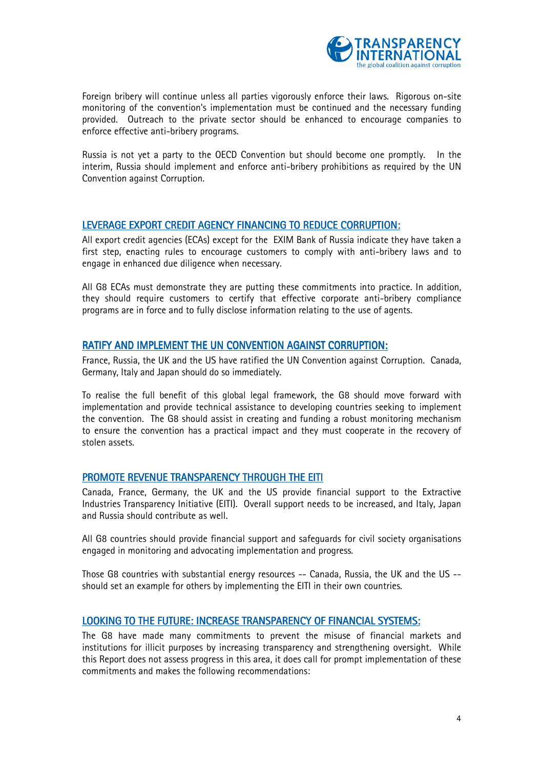

Foreign bribery will continue unless all parties vigorously enforce their laws. Rigorous on-site monitoring of the convention's implementation must be continued and the necessary funding provided. Outreach to the private sector should be enhanced to encourage companies to enforce effective anti-bribery programs.

Russia is not yet a party to the OECD Convention but should become one promptly. In the interim, Russia should implement and enforce anti-bribery prohibitions as required by the UN Convention against Corruption.

#### LEVERAGE EXPORT CREDIT AGENCY FINANCING TO REDUCE CORRUPTION:

All export credit agencies (ECAs) except for the EXIM Bank of Russia indicate they have taken a first step, enacting rules to encourage customers to comply with anti-bribery laws and to engage in enhanced due diligence when necessary.

All G8 ECAs must demonstrate they are putting these commitments into practice. In addition, they should require customers to certify that effective corporate anti-bribery compliance programs are in force and to fully disclose information relating to the use of agents.

#### RATIFY AND IMPLEMENT THE UN CONVENTION AGAINST CORRUPTION:

France, Russia, the UK and the US have ratified the UN Convention against Corruption. Canada, Germany, Italy and Japan should do so immediately.

To realise the full benefit of this global legal framework, the G8 should move forward with implementation and provide technical assistance to developing countries seeking to implement the convention. The G8 should assist in creating and funding a robust monitoring mechanism to ensure the convention has a practical impact and they must cooperate in the recovery of stolen assets.

#### PROMOTE REVENUE TRANSPARENCY THROUGH THE EITI

Canada, France, Germany, the UK and the US provide financial support to the Extractive Industries Transparency Initiative (EITI). Overall support needs to be increased, and Italy, Japan and Russia should contribute as well.

All G8 countries should provide financial support and safeguards for civil society organisations engaged in monitoring and advocating implementation and progress.

Those G8 countries with substantial energy resources -- Canada, Russia, the UK and the US - should set an example for others by implementing the EITI in their own countries.

#### LOOKING TO THE FUTURE: INCREASE TRANSPARENCY OF FINANCIAL SYSTEMS:

The G8 have made many commitments to prevent the misuse of financial markets and institutions for illicit purposes by increasing transparency and strengthening oversight. While this Report does not assess progress in this area, it does call for prompt implementation of these commitments and makes the following recommendations: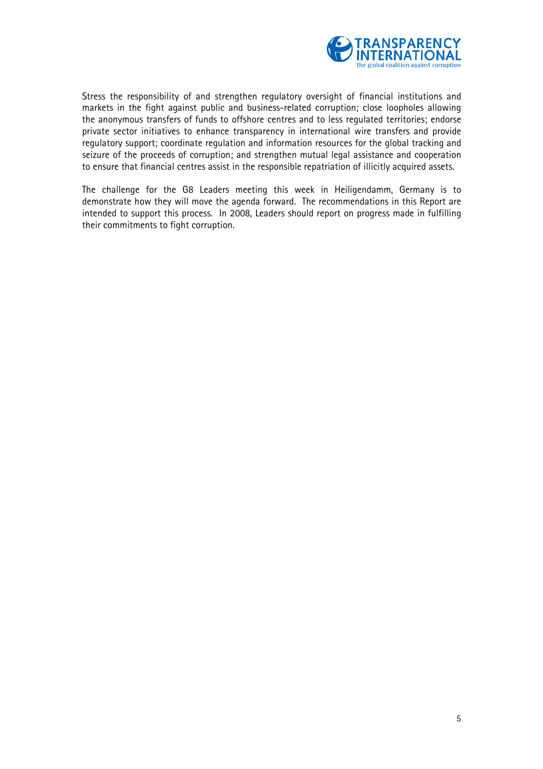

Stress the responsibility of and strengthen regulatory oversight of financial institutions and markets in the fight against public and business-related corruption; close loopholes allowing the anonymous transfers of funds to offshore centres and to less regulated territories; endorse private sector initiatives to enhance transparency in international wire transfers and provide regulatory support; coordinate regulation and information resources for the global tracking and seizure of the proceeds of corruption; and strengthen mutual legal assistance and cooperation to ensure that financial centres assist in the responsible repatriation of illicitly acquired assets.

The challenge for the G8 Leaders meeting this week in Heiligendamm, Germany is to demonstrate how they will move the agenda forward. The recommendations in this Report are intended to support this process. In 2008, Leaders should report on progress made in fulfilling their commitments to fight corruption.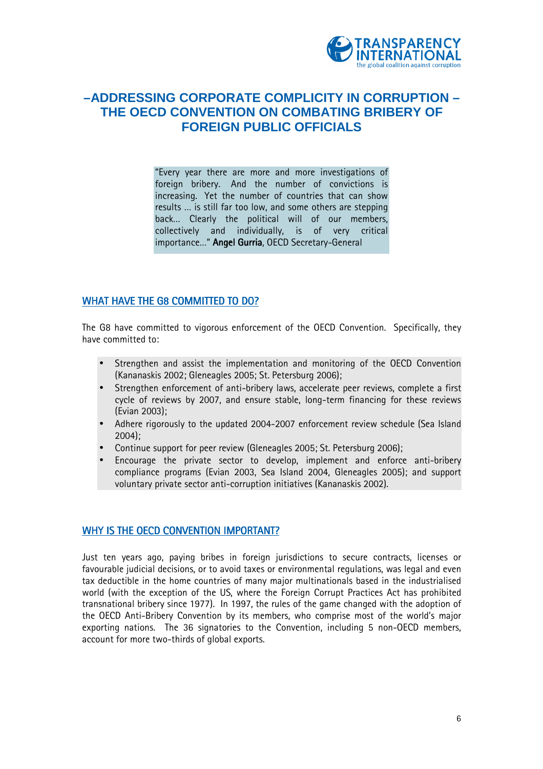

## **–ADDRESSING CORPORATE COMPLICITY IN CORRUPTION – THE OECD CONVENTION ON COMBATING BRIBERY OF FOREIGN PUBLIC OFFICIALS**

≈Every year there are more and more investigations of foreign bribery. And the number of convictions is increasing. Yet the number of countries that can show results ... is still far too low, and some others are stepping back... Clearly the political will of our members, collectively and individually, is of very critical importance..." Angel Gurria, OECD Secretary-General

#### WHAT HAVE THE G8 COMMITTED TO DO?

The G8 have committed to vigorous enforcement of the OECD Convention. Specifically, they have committed to:

- Strengthen and assist the implementation and monitoring of the OECD Convention (Kananaskis 2002; Gleneagles 2005; St. Petersburg 2006);
- Strengthen enforcement of anti-bribery laws, accelerate peer reviews, complete a first cycle of reviews by 2007, and ensure stable, long-term financing for these reviews (Evian 2003);
- Adhere rigorously to the updated 2004-2007 enforcement review schedule (Sea Island 2004);
- Continue support for peer review (Gleneagles 2005; St. Petersburg 2006);
- Encourage the private sector to develop, implement and enforce anti-bribery compliance programs (Evian 2003, Sea Island 2004, Gleneagles 2005); and support voluntary private sector anti-corruption initiatives (Kananaskis 2002).

#### WHY IS THE OECD CONVENTION IMPORTANT?

Just ten years ago, paying bribes in foreign jurisdictions to secure contracts, licenses or favourable judicial decisions, or to avoid taxes or environmental regulations, was legal and even tax deductible in the home countries of many major multinationals based in the industrialised world (with the exception of the US, where the Foreign Corrupt Practices Act has prohibited transnational bribery since 1977). In 1997, the rules of the game changed with the adoption of the OECD Anti-Bribery Convention by its members, who comprise most of the world's major exporting nations. The 36 signatories to the Convention, including 5 non-OECD members, account for more two-thirds of global exports.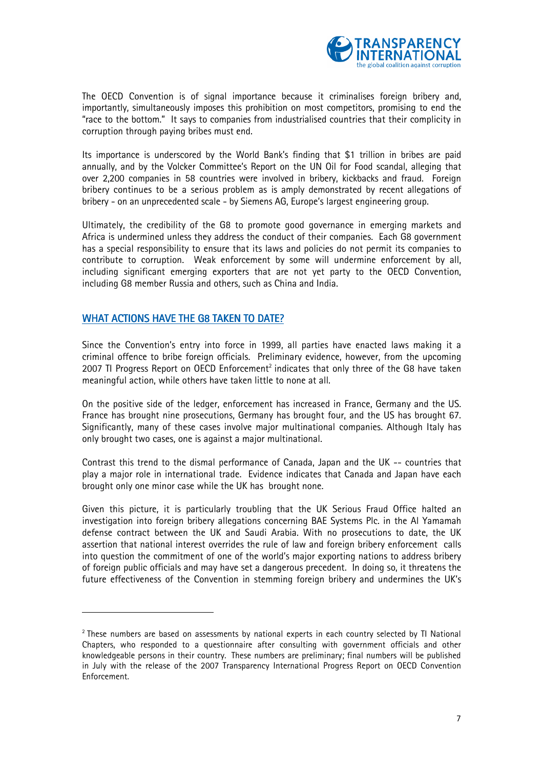

The OECD Convention is of signal importance because it criminalises foreign bribery and, importantly, simultaneously imposes this prohibition on most competitors, promising to end the ≈race to the bottom.∆ It says to companies from industrialised countries that their complicity in corruption through paying bribes must end.

Its importance is underscored by the World Bank's finding that \$1 trillion in bribes are paid annually, and by the Volcker Committee's Report on the UN Oil for Food scandal, alleging that over 2,200 companies in 58 countries were involved in bribery, kickbacks and fraud. Foreign bribery continues to be a serious problem as is amply demonstrated by recent allegations of bribery - on an unprecedented scale - by Siemens AG, Europe's largest engineering group.

Ultimately, the credibility of the G8 to promote good governance in emerging markets and Africa is undermined unless they address the conduct of their companies. Each G8 government has a special responsibility to ensure that its laws and policies do not permit its companies to contribute to corruption. Weak enforcement by some will undermine enforcement by all, including significant emerging exporters that are not yet party to the OECD Convention, including G8 member Russia and others, such as China and India.

#### WHAT ACTIONS HAVE THE G8 TAKEN TO DATE?

l

Since the Convention's entry into force in 1999, all parties have enacted laws making it a criminal offence to bribe foreign officials. Preliminary evidence, however, from the upcoming 2007 TI Progress Report on OECD Enforcement<sup>2</sup> indicates that only three of the G8 have taken meaningful action, while others have taken little to none at all.

On the positive side of the ledger, enforcement has increased in France, Germany and the US. France has brought nine prosecutions, Germany has brought four, and the US has brought 67. Significantly, many of these cases involve major multinational companies. Although Italy has only brought two cases, one is against a major multinational.

Contrast this trend to the dismal performance of Canada, Japan and the UK -- countries that play a major role in international trade. Evidence indicates that Canada and Japan have each brought only one minor case while the UK has brought none.

Given this picture, it is particularly troubling that the UK Serious Fraud Office halted an investigation into foreign bribery allegations concerning BAE Systems Plc. in the Al Yamamah defense contract between the UK and Saudi Arabia. With no prosecutions to date, the UK assertion that national interest overrides the rule of law and foreign bribery enforcement calls into question the commitment of one of the world's major exporting nations to address bribery of foreign public officials and may have set a dangerous precedent. In doing so, it threatens the future effectiveness of the Convention in stemming foreign bribery and undermines the UK's

 $^{\rm 2}$  These numbers are based on assessments by national experts in each country selected by TI National Chapters, who responded to a questionnaire after consulting with government officials and other knowledgeable persons in their country. These numbers are preliminary; final numbers will be published in July with the release of the 2007 Transparency International Progress Report on OECD Convention Enforcement.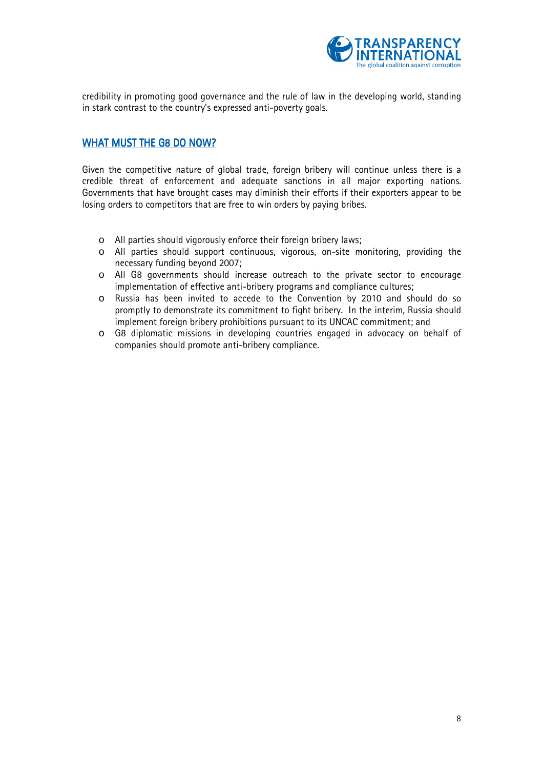

credibility in promoting good governance and the rule of law in the developing world, standing in stark contrast to the country's expressed anti-poverty goals.

#### WHAT MUST THE G8 DO NOW?

Given the competitive nature of global trade, foreign bribery will continue unless there is a credible threat of enforcement and adequate sanctions in all major exporting nations. Governments that have brought cases may diminish their efforts if their exporters appear to be losing orders to competitors that are free to win orders by paying bribes.

- o All parties should vigorously enforce their foreign bribery laws;
- o All parties should support continuous, vigorous, on-site monitoring, providing the necessary funding beyond 2007;
- o All G8 governments should increase outreach to the private sector to encourage implementation of effective anti-bribery programs and compliance cultures;
- o Russia has been invited to accede to the Convention by 2010 and should do so promptly to demonstrate its commitment to fight bribery. In the interim, Russia should implement foreign bribery prohibitions pursuant to its UNCAC commitment; and
- o G8 diplomatic missions in developing countries engaged in advocacy on behalf of companies should promote anti-bribery compliance.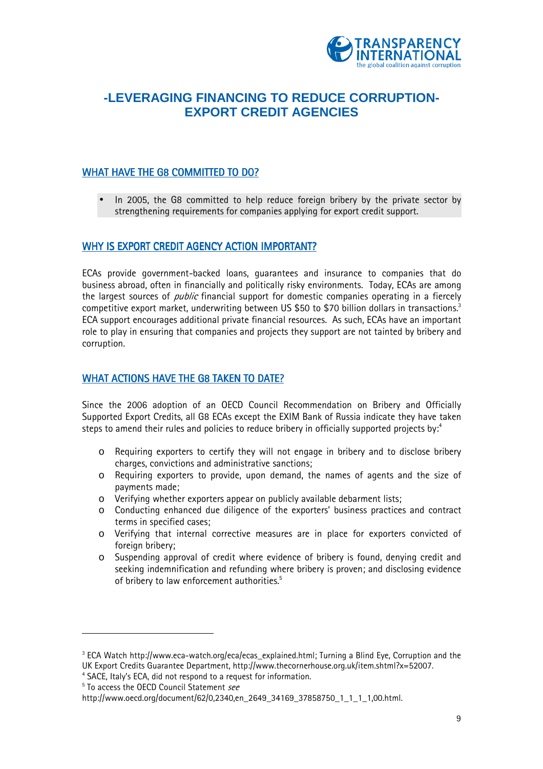

## **-LEVERAGING FINANCING TO REDUCE CORRUPTION-EXPORT CREDIT AGENCIES**

#### WHAT HAVE THE G8 COMMITTED TO DO?

• In 2005, the G8 committed to help reduce foreign bribery by the private sector by strengthening requirements for companies applying for export credit support.

#### WHY IS EXPORT CREDIT AGENCY ACTION IMPORTANT?

ECAs provide government-backed loans, guarantees and insurance to companies that do business abroad, often in financially and politically risky environments. Today, ECAs are among the largest sources of *public* financial support for domestic companies operating in a fiercely competitive export market, underwriting between US \$50 to \$70 billion dollars in transactions. $^3$ ECA support encourages additional private financial resources. As such, ECAs have an important role to play in ensuring that companies and projects they support are not tainted by bribery and corruption.

#### WHAT ACTIONS HAVE THE G8 TAKEN TO DATE?

Since the 2006 adoption of an OECD Council Recommendation on Bribery and Officially Supported Export Credits, all G8 ECAs except the EXIM Bank of Russia indicate they have taken steps to amend their rules and policies to reduce bribery in officially supported projects by: $^4$ 

- o Requiring exporters to certify they will not engage in bribery and to disclose bribery charges, convictions and administrative sanctions;
- o Requiring exporters to provide, upon demand, the names of agents and the size of payments made;
- o Verifying whether exporters appear on publicly available debarment lists;
- $\circ$  Conducting enhanced due diligence of the exporters' business practices and contract terms in specified cases;
- o Verifying that internal corrective measures are in place for exporters convicted of foreign bribery;
- o Suspending approval of credit where evidence of bribery is found, denying credit and seeking indemnification and refunding where bribery is proven; and disclosing evidence of bribery to law enforcement authorities.<sup>5</sup>

l

 $^{\rm 3}$  ECA Watch http://www.eca-watch.org/eca/ecas\_explained.html; Turning a Blind Eye, Corruption and the UK Export Credits Guarantee Department, http://www.thecornerhouse.org.uk/item.shtml?x=52007.

<sup>&</sup>lt;sup>4</sup> SACE, Italy's ECA, did not respond to a request for information.

<sup>&</sup>lt;sup>5</sup> To access the OECD Council Statement see

http://www.oecd.org/document/62/0,2340,en\_2649\_34169\_37858750\_1\_1\_1\_1,00.html.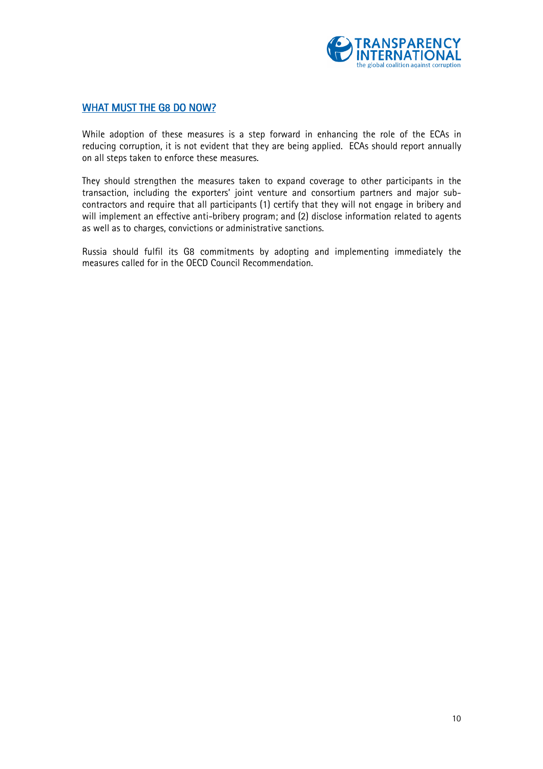

#### WHAT MUST THE G8 DO NOW?

While adoption of these measures is a step forward in enhancing the role of the ECAs in reducing corruption, it is not evident that they are being applied. ECAs should report annually on all steps taken to enforce these measures.

They should strengthen the measures taken to expand coverage to other participants in the transaction, including the exporters' joint venture and consortium partners and major subcontractors and require that all participants (1) certify that they will not engage in bribery and will implement an effective anti-bribery program; and (2) disclose information related to agents as well as to charges, convictions or administrative sanctions.

Russia should fulfil its G8 commitments by adopting and implementing immediately the measures called for in the OECD Council Recommendation.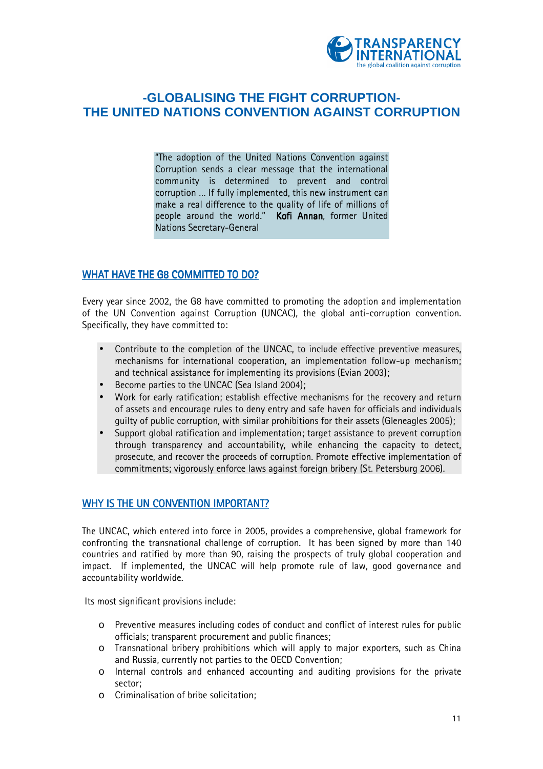

## **-GLOBALISING THE FIGHT CORRUPTION-THE UNITED NATIONS CONVENTION AGAINST CORRUPTION**

≈The adoption of the United Nations Convention against Corruption sends a clear message that the international community is determined to prevent and control corruption ... If fully implemented, this new instrument can make a real difference to the quality of life of millions of people around the world.<sup>"</sup> Kofi Annan, former United Nations Secretary-General

#### WHAT HAVE THE G8 COMMITTED TO DO?

Every year since 2002, the G8 have committed to promoting the adoption and implementation of the UN Convention against Corruption (UNCAC), the global anti-corruption convention. Specifically, they have committed to:

- Contribute to the completion of the UNCAC, to include effective preventive measures, mechanisms for international cooperation, an implementation follow-up mechanism; and technical assistance for implementing its provisions (Evian 2003);
- Become parties to the UNCAC (Sea Island 2004);
- Work for early ratification; establish effective mechanisms for the recovery and return of assets and encourage rules to deny entry and safe haven for officials and individuals guilty of public corruption, with similar prohibitions for their assets (Gleneagles 2005);
- Support global ratification and implementation; target assistance to prevent corruption through transparency and accountability, while enhancing the capacity to detect, prosecute, and recover the proceeds of corruption. Promote effective implementation of commitments; vigorously enforce laws against foreign bribery (St. Petersburg 2006).

#### WHY IS THE UN CONVENTION IMPORTANT?

The UNCAC, which entered into force in 2005, provides a comprehensive, global framework for confronting the transnational challenge of corruption. It has been signed by more than 140 countries and ratified by more than 90, raising the prospects of truly global cooperation and impact. If implemented, the UNCAC will help promote rule of law, good governance and accountability worldwide.

Its most significant provisions include:

- o Preventive measures including codes of conduct and conflict of interest rules for public officials; transparent procurement and public finances;
- o Transnational bribery prohibitions which will apply to major exporters, such as China and Russia, currently not parties to the OECD Convention;
- o Internal controls and enhanced accounting and auditing provisions for the private sector;
- o Criminalisation of bribe solicitation;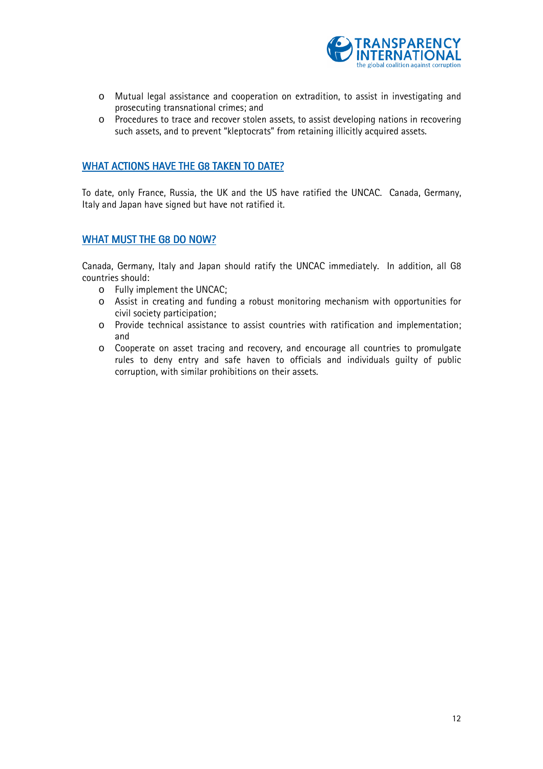

- o Mutual legal assistance and cooperation on extradition, to assist in investigating and prosecuting transnational crimes; and
- o Procedures to trace and recover stolen assets, to assist developing nations in recovering such assets, and to prevent "kleptocrats" from retaining illicitly acquired assets.

#### WHAT ACTIONS HAVE THE G8 TAKEN TO DATE?

To date, only France, Russia, the UK and the US have ratified the UNCAC. Canada, Germany, Italy and Japan have signed but have not ratified it.

#### WHAT MUST THE G8 DO NOW?

Canada, Germany, Italy and Japan should ratify the UNCAC immediately. In addition, all G8 countries should:

- o Fully implement the UNCAC;
- o Assist in creating and funding a robust monitoring mechanism with opportunities for civil society participation;
- o Provide technical assistance to assist countries with ratification and implementation; and
- o Cooperate on asset tracing and recovery, and encourage all countries to promulgate rules to deny entry and safe haven to officials and individuals guilty of public corruption, with similar prohibitions on their assets.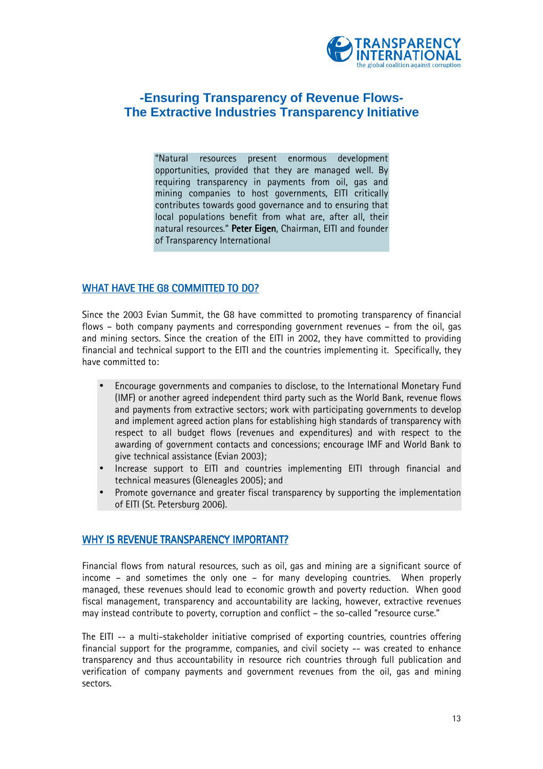

## **-Ensuring Transparency of Revenue Flows-The Extractive Industries Transparency Initiative**

≈Natural resources present enormous development opportunities, provided that they are managed well. By requiring transparency in payments from oil, gas and mining companies to host governments, EITI critically contributes towards good governance and to ensuring that local populations benefit from what are, after all, their natural resources." Peter Eigen, Chairman, EITI and founder of Transparency International

#### WHAT HAVE THE G8 COMMITTED TO DO?

Since the 2003 Evian Summit, the G8 have committed to promoting transparency of financial flows – both company payments and corresponding government revenues – from the oil, gas and mining sectors. Since the creation of the EITI in 2002, they have committed to providing financial and technical support to the EITI and the countries implementing it. Specifically, they have committed to:

- Encourage governments and companies to disclose, to the International Monetary Fund (IMF) or another agreed independent third party such as the World Bank, revenue flows and payments from extractive sectors; work with participating governments to develop and implement agreed action plans for establishing high standards of transparency with respect to all budget flows (revenues and expenditures) and with respect to the awarding of government contacts and concessions; encourage IMF and World Bank to give technical assistance (Evian 2003);
- Increase support to EITI and countries implementing EITI through financial and technical measures (Gleneagles 2005); and
- Promote governance and greater fiscal transparency by supporting the implementation of EITI (St. Petersburg 2006).

#### WHY IS REVENUE TRANSPARENCY IMPORTANT?

Financial flows from natural resources, such as oil, gas and mining are a significant source of  $income - and sometimes the only one - for many developing countries. When properly$ managed, these revenues should lead to economic growth and poverty reduction. When good fiscal management, transparency and accountability are lacking, however, extractive revenues may instead contribute to poverty, corruption and conflict – the so-called "resource curse."

The EITI -- a multi-stakeholder initiative comprised of exporting countries, countries offering financial support for the programme, companies, and civil society -- was created to enhance transparency and thus accountability in resource rich countries through full publication and verification of company payments and government revenues from the oil, gas and mining sectors.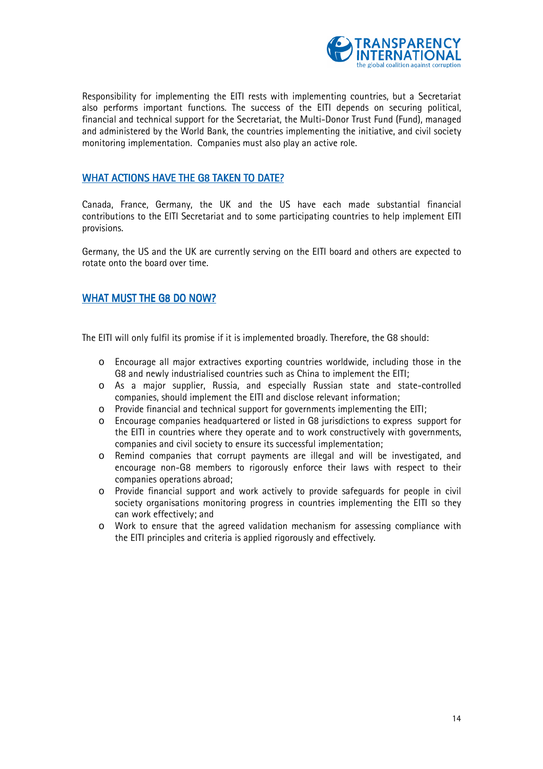

Responsibility for implementing the EITI rests with implementing countries, but a Secretariat also performs important functions. The success of the EITI depends on securing political, financial and technical support for the Secretariat, the Multi-Donor Trust Fund (Fund), managed and administered by the World Bank, the countries implementing the initiative, and civil society monitoring implementation. Companies must also play an active role.

#### WHAT ACTIONS HAVE THE G8 TAKEN TO DATE?

Canada, France, Germany, the UK and the US have each made substantial financial contributions to the EITI Secretariat and to some participating countries to help implement EITI provisions.

Germany, the US and the UK are currently serving on the EITI board and others are expected to rotate onto the board over time.

#### WHAT MUST THE G8 DO NOW?

The EITI will only fulfil its promise if it is implemented broadly. Therefore, the G8 should:

- o Encourage all major extractives exporting countries worldwide, including those in the G8 and newly industrialised countries such as China to implement the EITI;
- o As a major supplier, Russia, and especially Russian state and state-controlled companies, should implement the EITI and disclose relevant information;
- o Provide financial and technical support for governments implementing the EITI;
- o Encourage companies headquartered or listed in G8 jurisdictions to express support for the EITI in countries where they operate and to work constructively with governments, companies and civil society to ensure its successful implementation;
- o Remind companies that corrupt payments are illegal and will be investigated, and encourage non-G8 members to rigorously enforce their laws with respect to their companies operations abroad;
- o Provide financial support and work actively to provide safeguards for people in civil society organisations monitoring progress in countries implementing the EITI so they can work effectively; and
- o Work to ensure that the agreed validation mechanism for assessing compliance with the EITI principles and criteria is applied rigorously and effectively.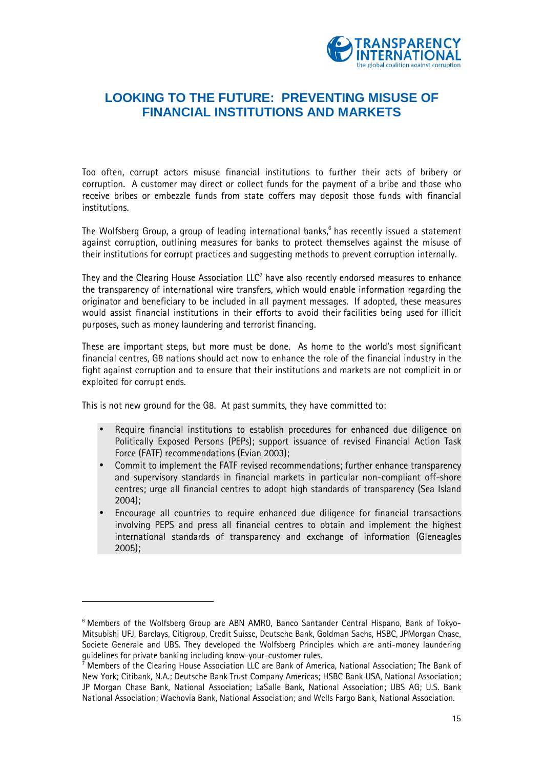

## **LOOKING TO THE FUTURE: PREVENTING MISUSE OF FINANCIAL INSTITUTIONS AND MARKETS**

Too often, corrupt actors misuse financial institutions to further their acts of bribery or corruption. A customer may direct or collect funds for the payment of a bribe and those who receive bribes or embezzle funds from state coffers may deposit those funds with financial institutions.

The Wolfsberg Group, a group of leading international banks, $^6$  has recently issued a statement against corruption, outlining measures for banks to protect themselves against the misuse of their institutions for corrupt practices and suggesting methods to prevent corruption internally.

They and the Clearing House Association LLC $^7$  have also recently endorsed measures to enhance the transparency of international wire transfers, which would enable information regarding the originator and beneficiary to be included in all payment messages. If adopted, these measures would assist financial institutions in their efforts to avoid their facilities being used for illicit purposes, such as money laundering and terrorist financing.

These are important steps, but more must be done. As home to the world's most significant financial centres, G8 nations should act now to enhance the role of the financial industry in the fight against corruption and to ensure that their institutions and markets are not complicit in or exploited for corrupt ends.

This is not new ground for the G8. At past summits, they have committed to:

l

- Require financial institutions to establish procedures for enhanced due diligence on Politically Exposed Persons (PEPs); support issuance of revised Financial Action Task Force (FATF) recommendations (Evian 2003);
- Commit to implement the FATF revised recommendations; further enhance transparency and supervisory standards in financial markets in particular non-compliant off-shore centres; urge all financial centres to adopt high standards of transparency (Sea Island 2004);
- Encourage all countries to require enhanced due diligence for financial transactions involving PEPS and press all financial centres to obtain and implement the highest international standards of transparency and exchange of information (Gleneagles 2005);

<sup>&</sup>lt;sup>6</sup> Members of the Wolfsberg Group are ABN AMRO, Banco Santander Central Hispano, Bank of Tokyo-Mitsubishi UFJ, Barclays, Citigroup, Credit Suisse, Deutsche Bank, Goldman Sachs, HSBC, JPMorgan Chase, Societe Generale and UBS. They developed the Wolfsberg Principles which are anti-money laundering guidelines for private banking including know-your-customer rules.

 $^7$  Members of the Clearing House Association LLC are Bank of America, National Association; The Bank of New York; Citibank, N.A.; Deutsche Bank Trust Company Americas; HSBC Bank USA, National Association; JP Morgan Chase Bank, National Association; LaSalle Bank, National Association; UBS AG; U.S. Bank National Association; Wachovia Bank, National Association; and Wells Fargo Bank, National Association.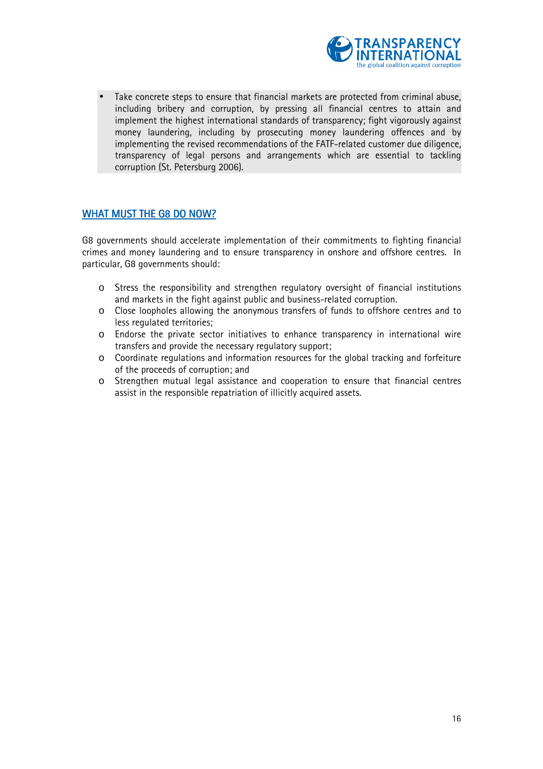

Take concrete steps to ensure that financial markets are protected from criminal abuse. including bribery and corruption, by pressing all financial centres to attain and implement the highest international standards of transparency; fight vigorously against money laundering, including by prosecuting money laundering offences and by implementing the revised recommendations of the FATF-related customer due diligence, transparency of legal persons and arrangements which are essential to tackling corruption (St. Petersburg 2006).

#### WHAT MUST THE G8 DO NOW?

G8 governments should accelerate implementation of their commitments to fighting financial crimes and money laundering and to ensure transparency in onshore and offshore centres. In particular, G8 governments should:

- o Stress the responsibility and strengthen regulatory oversight of financial institutions and markets in the fight against public and business-related corruption.
- o Close loopholes allowing the anonymous transfers of funds to offshore centres and to less regulated territories;
- o Endorse the private sector initiatives to enhance transparency in international wire transfers and provide the necessary regulatory support;
- o Coordinate regulations and information resources for the global tracking and forfeiture of the proceeds of corruption; and
- o Strengthen mutual legal assistance and cooperation to ensure that financial centres assist in the responsible repatriation of illicitly acquired assets.